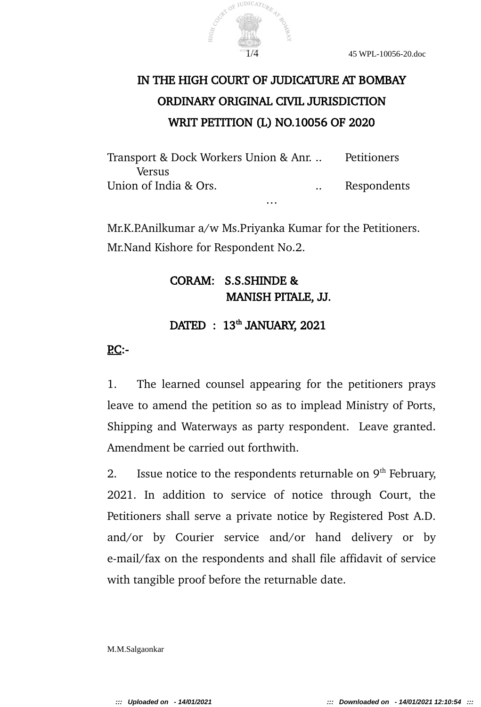

# IN THE HIGH COURT OF JUDICATURE AT BOMBAY ORDINARY ORIGINAL CIVIL JURISDICTION WRIT PETITION (L) NO.10056 OF 2020

Transport & Dock Workers Union & Anr. .. Petitioners Versus Union of India & Ors. . . . . . . . Respondents …

Mr.K.P.Anilkumar a/w Ms.Priyanka Kumar for the Petitioners. Mr.Nand Kishore for Respondent No.2.

# CORAM: S.S.SHINDE & MANISH PITALE, JJ.

## DATED : 13<sup>th</sup> JANUARY, 2021

### $\overline{PC}}$ :-

1. The learned counsel appearing for the petitioners prays leave to amend the petition so as to implead Ministry of Ports, Shipping and Waterways as party respondent. Leave granted. Amendment be carried out forthwith.

2. Issue notice to the respondents returnable on  $9<sup>th</sup>$  February, 2021. In addition to service of notice through Court, the Petitioners shall serve a private notice by Registered Post A.D. and/or by Courier service and/or hand delivery or by e-mail/fax on the respondents and shall file affidavit of service with tangible proof before the returnable date.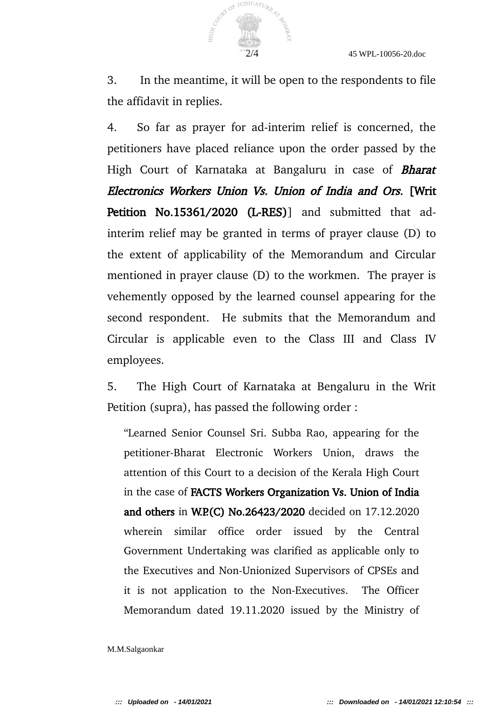

3. In the meantime, it will be open to the respondents to file the affidavit in replies.

4. So far as prayer for ad-interim relief is concerned, the petitioners have placed reliance upon the order passed by the High Court of Karnataka at Bangaluru in case of **Bharat** Electronics Workers Union Vs. Union of India and Ors. [Writ Petition No.15361/2020 (L-RES)] and submitted that adinterim relief may be granted in terms of prayer clause (D) to the extent of applicability of the Memorandum and Circular mentioned in prayer clause (D) to the workmen. The prayer is vehemently opposed by the learned counsel appearing for the second respondent. He submits that the Memorandum and Circular is applicable even to the Class III and Class IV employees.

5. The High Court of Karnataka at Bengaluru in the Writ Petition (supra), has passed the following order :

"Learned Senior Counsel Sri. Subba Rao, appearing for the petitioner-Bharat Electronic Workers Union, draws the attention of this Court to a decision of the Kerala High Court in the case of FACTS Workers Organization Vs. Union of India and others in W.P.(C) No.26423/2020 decided on 17.12.2020 wherein similar office order issued by the Central Government Undertaking was clarified as applicable only to the Executives and Non-Unionized Supervisors of CPSEs and it is not application to the Non-Executives. The Officer Memorandum dated 19.11.2020 issued by the Ministry of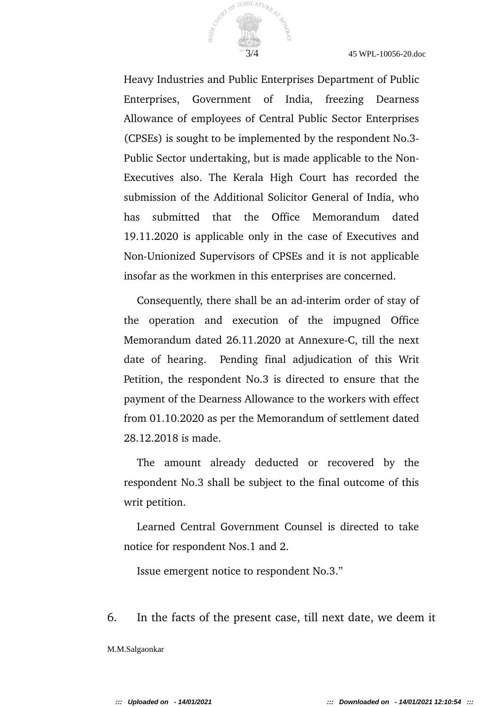

Heavy Industries and Public Enterprises Department of Public Enterprises, Government of India, freezing Dearness Allowance of employees of Central Public Sector Enterprises (CPSEs) is sought to be implemented by the respondent No.3- Public Sector undertaking, but is made applicable to the Non-Executives also. The Kerala High Court has recorded the submission of the Additional Solicitor General of India, who has submitted that the Office Memorandum dated 19.11.2020 is applicable only in the case of Executives and Non-Unionized Supervisors of CPSEs and it is not applicable insofar as the workmen in this enterprises are concerned.

Consequently, there shall be an ad-interim order of stay of the operation and execution of the impugned Office Memorandum dated 26.11.2020 at Annexure-C, till the next date of hearing. Pending final adjudication of this Writ Petition, the respondent No.3 is directed to ensure that the payment of the Dearness Allowance to the workers with effect from 01.10.2020 as per the Memorandum of settlement dated 28.12.2018 is made.

The amount already deducted or recovered by the respondent No.3 shall be subject to the final outcome of this writ petition.

Learned Central Government Counsel is directed to take notice for respondent Nos.1 and 2.

Issue emergent notice to respondent No.3."

6. In the facts of the present case, till next date, we deem it